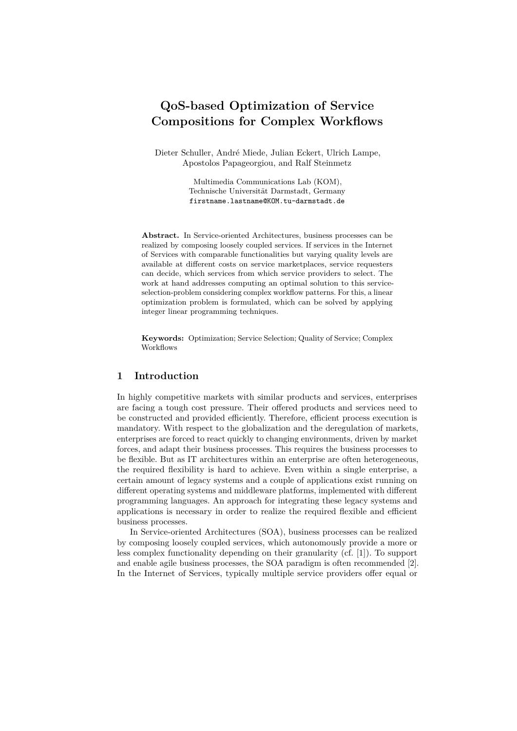# **QoS-based Optimization of Service Compositions for Complex Workflows**

Dieter Schuller, André Miede, Julian Eckert, Ulrich Lampe, Apostolos Papageorgiou, and Ralf Steinmetz

> Multimedia Communications Lab (KOM), Technische Universität Darmstadt, Germany firstname.lastname@KOM.tu-darmstadt.de

**Abstract.** In Service-oriented Architectures, business processes can be realized by composing loosely coupled services. If services in the Internet of Services with comparable functionalities but varying quality levels are available at different costs on service marketplaces, service requesters can decide, which services from which service providers to select. The work at hand addresses computing an optimal solution to this serviceselection-problem considering complex workflow patterns. For this, a linear optimization problem is formulated, which can be solved by applying integer linear programming techniques.

**Keywords:** Optimization; Service Selection; Quality of Service; Complex **Workflows** 

# **1 Introduction**

In highly competitive markets with similar products and services, enterprises are facing a tough cost pressure. Their offered products and services need to be constructed and provided efficiently. Therefore, efficient process execution is mandatory. With respect to the globalization and the deregulation of markets, enterprises are forced to react quickly to changing environments, driven by market forces, and adapt their business processes. This requires the business processes to be flexible. But as IT architectures within an enterprise are often heterogeneous, the required flexibility is hard to achieve. Even within a single enterprise, a certain amount of legacy systems and a couple of applications exist running on different operating systems and middleware platforms, implemented with different programming languages. An approach for integrating these legacy systems and applications is necessary in order to realize the required flexible and efficient business processes.

In Service-oriented Architectures (SOA), business processes can be realized by composing loosely coupled services, which autonomously provide a more or less complex functionality depending on their granularity (cf. [1]). To support and enable agile business processes, the SOA paradigm is often recommended [2]. In the Internet of Services, typically multiple service providers offer equal or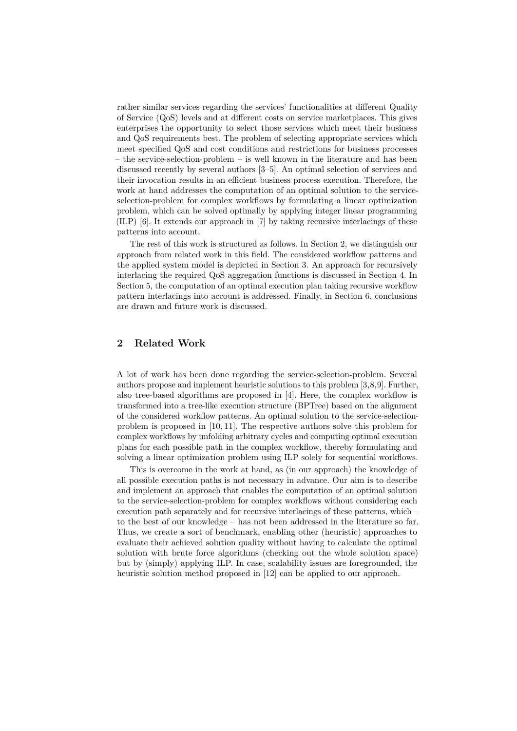rather similar services regarding the services' functionalities at different Quality of Service (QoS) levels and at different costs on service marketplaces. This gives enterprises the opportunity to select those services which meet their business and QoS requirements best. The problem of selecting appropriate services which meet specified QoS and cost conditions and restrictions for business processes – the service-selection-problem – is well known in the literature and has been discussed recently by several authors [3–5]. An optimal selection of services and their invocation results in an efficient business process execution. Therefore, the work at hand addresses the computation of an optimal solution to the serviceselection-problem for complex workflows by formulating a linear optimization problem, which can be solved optimally by applying integer linear programming (ILP) [6]. It extends our approach in [7] by taking recursive interlacings of these patterns into account.

The rest of this work is structured as follows. In Section 2, we distinguish our approach from related work in this field. The considered workflow patterns and the applied system model is depicted in Section 3. An approach for recursively interlacing the required QoS aggregation functions is discussed in Section 4. In Section 5, the computation of an optimal execution plan taking recursive workflow pattern interlacings into account is addressed. Finally, in Section 6, conclusions are drawn and future work is discussed.

## **2 Related Work**

A lot of work has been done regarding the service-selection-problem. Several authors propose and implement heuristic solutions to this problem [3,8,9]. Further, also tree-based algorithms are proposed in [4]. Here, the complex workflow is transformed into a tree-like execution structure (BPTree) based on the alignment of the considered workflow patterns. An optimal solution to the service-selectionproblem is proposed in [10, 11]. The respective authors solve this problem for complex workflows by unfolding arbitrary cycles and computing optimal execution plans for each possible path in the complex workflow, thereby formulating and solving a linear optimization problem using ILP solely for sequential workflows.

This is overcome in the work at hand, as (in our approach) the knowledge of all possible execution paths is not necessary in advance. Our aim is to describe and implement an approach that enables the computation of an optimal solution to the service-selection-problem for complex workflows without considering each execution path separately and for recursive interlacings of these patterns, which – to the best of our knowledge – has not been addressed in the literature so far. Thus, we create a sort of benchmark, enabling other (heuristic) approaches to evaluate their achieved solution quality without having to calculate the optimal solution with brute force algorithms (checking out the whole solution space) but by (simply) applying ILP. In case, scalability issues are foregrounded, the heuristic solution method proposed in [12] can be applied to our approach.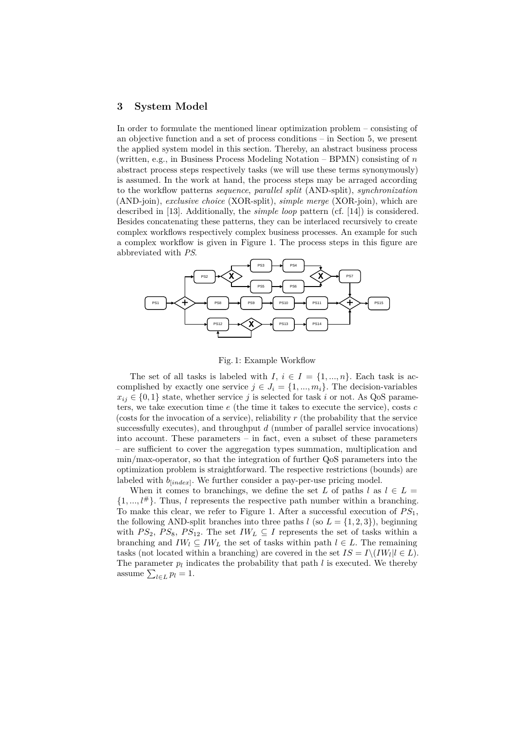#### **3 System Model**

In order to formulate the mentioned linear optimization problem – consisting of an objective function and a set of process conditions – in Section 5, we present the applied system model in this section. Thereby, an abstract business process (written, e.g., in Business Process Modeling Notation – BPMN) consisting of *n* abstract process steps respectively tasks (we will use these terms synonymously) is assumed. In the work at hand, the process steps may be arraged according to the workflow patterns *sequence*, *parallel split* (AND-split), *synchronization* (AND-join), *exclusive choice* (XOR-split), *simple merge* (XOR-join), which are described in [13]. Additionally, the *simple loop* pattern (cf. [14]) is considered. Besides concatenating these patterns, they can be interlaced recursively to create complex workflows respectively complex business processes. An example for such a complex workflow is given in Figure 1. The process steps in this figure are abbreviated with *PS*.



Fig. 1: Example Workflow

The set of all tasks is labeled with *I*,  $i \in I = \{1, ..., n\}$ . Each task is accomplished by exactly one service  $j \in J_i = \{1, ..., m_i\}$ . The decision-variables  $x_{ij} \in \{0,1\}$  state, whether service *j* is selected for task *i* or not. As QoS parameters, we take execution time *e* (the time it takes to execute the service), costs *c* (costs for the invocation of a service), reliability *r* (the probability that the service successfully executes), and throughput *d* (number of parallel service invocations) into account. These parameters – in fact, even a subset of these parameters – are sufficient to cover the aggregation types summation, multiplication and min/max-operator, so that the integration of further QoS parameters into the optimization problem is straightforward. The respective restrictions (bounds) are labeled with  $b_{[index]}$ . We further consider a pay-per-use pricing model.

When it comes to branchings, we define the set *L* of paths *l* as  $l \in L$  $\{1, ..., l^* \}$ . Thus, *l* represents the respective path number within a branching. To make this clear, we refer to Figure 1. After a successful execution of  $PS<sub>1</sub>$ , the following AND-split branches into three paths  $l$  (so  $L = \{1, 2, 3\}$ ), beginning with  $PS_2$ ,  $PS_8$ ,  $PS_{12}$ . The set  $IW_L \subseteq I$  represents the set of tasks within a branching and  $IW_l \subseteq IW_L$  the set of tasks within path  $l \in L$ . The remaining tasks (not located within a branching) are covered in the set  $IS = I \setminus (IW_l | l \in L)$ . The parameter  $p_l$  indicates the probability that path  $l$  is executed. We thereby assume  $\sum_{l \in L} p_l = 1$ .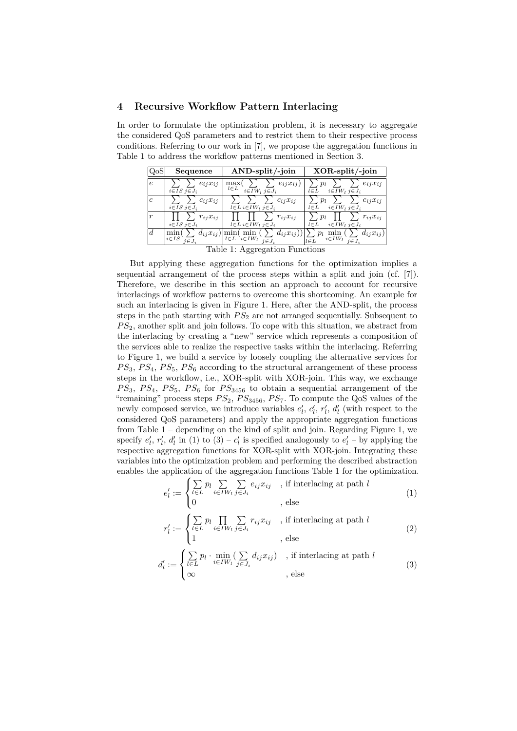#### **4 Recursive Workflow Pattern Interlacing**

In order to formulate the optimization problem, it is necessary to aggregate the considered QoS parameters and to restrict them to their respective process conditions. Referring to our work in [7], we propose the aggregation functions in Table 1 to address the workflow patterns mentioned in Section 3.

|                | Sequence                                    | $AND-split/-join$                                                                      | $XOR-split/-join$                                                           |
|----------------|---------------------------------------------|----------------------------------------------------------------------------------------|-----------------------------------------------------------------------------|
| e              | $e_{ij}x_{ij}$<br>$i \in IS \; j \in J_i$   | $e_{ij}x_{ij}$<br>max(<br>$l \in L$<br>$i \in \overline{IW}_l$ $j \in J_i$             | $p_l$<br>$e_{ij}x_{ij}$<br>$i \in I W_l \; j \in J_i$<br>$l \in L$          |
| $\overline{c}$ | $c_{ij}x_{ij}$<br>$i \in IS \; j \in J_i$   | $c_{ij}x_{ij}$<br>$l \in L$ $i \in I W_l$ $j \in J_i$                                  | $c_{ij}x_{ij}$<br>$l \in L$<br>$i \in I W_l \; j \in J_i$                   |
| r              | $r_{ij}x_{ij}$<br>$i \in IS \; j \in J_i$   | $\mathbf{1}$ $\mathbf{1}$<br>$r_{ij}x_{ij}$<br>$l \in L$ $i \in I W_l$ $j \in J_i$     | $r_{ij}x_{ij}$<br>$l \in L$<br>$i \in I W_I$ $j \in J_i$                    |
| $\overline{d}$ | $d_{ij}x_{ij}$<br>$i \in IS$<br>$i \in J_i$ | $\min(\min)$<br>$d_{ij}x_{ij})$<br>$l \in L$ $i \in I W_l$ $\overleftarrow{j \in J_i}$ | min<br>$d_{ij}x_{ij})$<br>$i \in I W_l$ $\overline{j \in J_i}$<br>$l \in L$ |

Table 1: Aggregation Functions

But applying these aggregation functions for the optimization implies a sequential arrangement of the process steps within a split and join (cf. [7]). Therefore, we describe in this section an approach to account for recursive interlacings of workflow patterns to overcome this shortcoming. An example for such an interlacing is given in Figure 1. Here, after the AND-split, the process steps in the path starting with  $PS_2$  are not arranged sequentially. Subsequent to *P S*2, another split and join follows. To cope with this situation, we abstract from the interlacing by creating a "new" service which represents a composition of the services able to realize the respective tasks within the interlacing. Referring to Figure 1, we build a service by loosely coupling the alternative services for *PS*<sub>3</sub>, *PS*<sub>4</sub>, *PS*<sub>5</sub>, *PS*<sub>6</sub> according to the structural arrangement of these process steps in the workflow, i.e., XOR-split with XOR-join. This way, we exchange  $PS_3$ ,  $PS_4$ ,  $PS_5$ ,  $PS_6$  for  $PS_{3456}$  to obtain a sequential arrangement of the "remaining" process steps  $PS_2$ ,  $PS_{3456}$ ,  $PS_7$ . To compute the QoS values of the newly composed service, we introduce variables  $e'_{l}$ ,  $c'_{l}$ ,  $r'_{l}$ ,  $d'_{l}$  (with respect to the considered QoS parameters) and apply the appropriate aggregation functions from Table 1 – depending on the kind of split and join. Regarding Figure 1, we specify  $e'_{l}$ ,  $r'_{l}$ ,  $d'_{l}$  in (1) to (3) –  $c'_{l}$  is specified analogously to  $e'_{l}$  – by applying the respective aggregation functions for XOR-split with XOR-join. Integrating these variables into the optimization problem and performing the described abstraction enables the application of the aggregation functions Table 1 for the optimization.

$$
e'_{l} := \begin{cases} \sum_{l \in L} p_l \sum_{i \in IW_l} \sum_{j \in J_i} e_{ij} x_{ij} & , \text{ if interlacing at path } l \\ 0 & , \text{ else} \end{cases}
$$
(1)

$$
r'_{l} := \begin{cases} \sum_{l \in L} p_l \prod_{i \in IW_l} \sum_{j \in J_i} r_{ij} x_{ij} & , \text{ if interlacing at path } l \\ 1 & , \text{ else} \end{cases}
$$
(2)

$$
d'_{l} := \begin{cases} \sum_{l \in L} p_l \cdot \min_{i \in IW_l} (\sum_{j \in J_i} d_{ij} x_{ij}) & , \text{ if interlacing at path } l \\ \infty & , \text{ else} \end{cases}
$$
(3)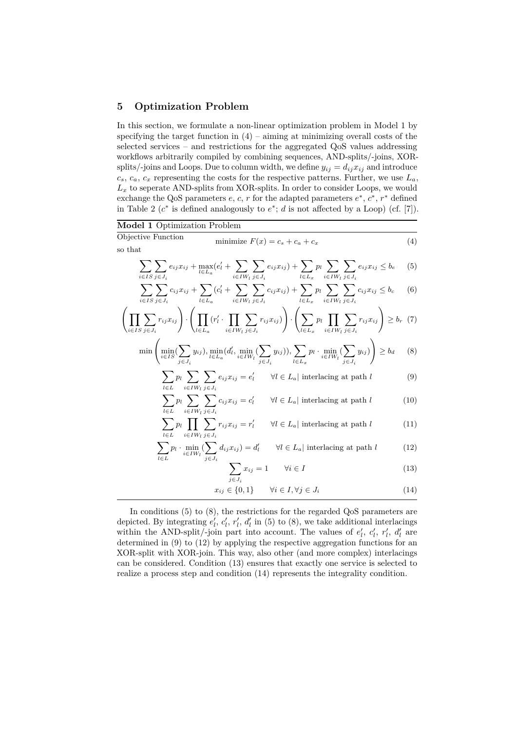#### **5 Optimization Problem**

In this section, we formulate a non-linear optimization problem in Model 1 by specifying the target function in  $(4)$  – aiming at minimizing overall costs of the selected services – and restrictions for the aggregated QoS values addressing workflows arbitrarily compiled by combining sequences, AND-splits/-joins, XORsplits/-joins and Loops. Due to column width, we define  $y_{ij} = d_{ij}x_{ij}$  and introduce  $c_s$ ,  $c_a$ ,  $c_x$  representing the costs for the respective patterns. Further, we use  $L_a$ ,  $L<sub>x</sub>$  to seperate AND-splits from XOR-splits. In order to consider Loops, we would exchange the QoS parameters  $e, c, r$  for the adapted parameters  $e^*, c^*, r^*$  defined in Table 2  $(c^*$  is defined analogously to  $e^*$ ; *d* is not affected by a Loop) (cf. [7]).

|  |  | Model 1 Optimization Problem |  |
|--|--|------------------------------|--|
|--|--|------------------------------|--|

$$
\text{Objective Function} \qquad \qquad \text{minimize } F(x) = c_s + c_a + c_x \tag{4}
$$
\n
$$
\text{so that}
$$

$$
\sum_{i \in IS} \sum_{j \in J_i} e_{ij} x_{ij} + \max_{l \in L_a} (e'_l + \sum_{i \in IW_l} \sum_{j \in J_i} e_{ij} x_{ij}) + \sum_{l \in L_x} p_l \sum_{i \in IW_l} \sum_{j \in J_i} e_{ij} x_{ij} \le b_e \tag{5}
$$

$$
\sum_{i \in IS} \sum_{j \in J_i} c_{ij} x_{ij} + \sum_{l \in L_a} (c'_l + \sum_{i \in IV_l} \sum_{j \in J_i} c_{ij} x_{ij}) + \sum_{l \in L_x} p_l \sum_{i \in IV_l} \sum_{j \in J_i} c_{ij} x_{ij} \le b_c \qquad (6)
$$

$$
\left(\prod_{i\in IS}\sum_{j\in J_i}r_{ij}x_{ij}\right)\cdot\left(\prod_{l\in L_a}(r_l'\cdot\prod_{i\in IW_l}\sum_{j\in J_i}r_{ij}x_{ij})\right)\cdot\left(\sum_{l\in L_x}p_l\prod_{i\in IW_l}\sum_{j\in J_i}r_{ij}x_{ij}\right)\geq b_r\tag{7}
$$

$$
\min\left(\min_{i\in IS}\left(\sum_{j\in J_i}y_{ij}\right),\min_{l\in L_a}\left(d'_l,\min_{i\in IW_l}\left(\sum_{j\in J_i}y_{ij}\right)\right),\sum_{l\in L_x}p_l\cdot\min_{i\in IW_l}\left(\sum_{j\in J_i}y_{ij}\right)\right) \ge b_d\tag{8}
$$

$$
\sum_{l \in L} p_l \sum_{i \in IW_l} \sum_{j \in J_i} e_{ij} x_{ij} = e'_l \qquad \forall l \in L_a | \text{ interlacing at path } l \tag{9}
$$

$$
\sum_{l \in L} p_l \sum_{i \in IW_l} \sum_{j \in J_i} c_{ij} x_{ij} = c'_l \qquad \forall l \in L_a | interlacing at path l \tag{10}
$$

$$
\sum_{l \in L} p_l \prod_{i \in IW_l} \sum_{j \in J_i} r_{ij} x_{ij} = r'_l \qquad \forall l \in L_a \mid \text{interlacing at path } l \tag{11}
$$

$$
\sum_{l \in L} p_l \cdot \min_{i \in IW_l} (\sum_{j \in J_i} d_{ij} x_{ij}) = d'_l \qquad \forall l \in L_a |\text{ interlacing at path } l \tag{12}
$$

$$
\sum_{j \in J_i} x_{ij} = 1 \qquad \forall i \in I \tag{13}
$$

$$
x_{ij} \in \{0, 1\} \qquad \forall i \in I, \forall j \in J_i \tag{14}
$$

In conditions (5) to (8), the restrictions for the regarded QoS parameters are depicted. By integrating  $e'_{l}$ ,  $c'_{l}$ ,  $r'_{l}$ ,  $d'_{l}$  in (5) to (8), we take additional interlacings within the AND-split/-join part into account. The values of  $e'_{l}$ ,  $c'_{l}$ ,  $r'_{l}$ ,  $d'_{l}$  are determined in (9) to (12) by applying the respective aggregation functions for an XOR-split with XOR-join. This way, also other (and more complex) interlacings can be considered. Condition (13) ensures that exactly one service is selected to realize a process step and condition (14) represents the integrality condition.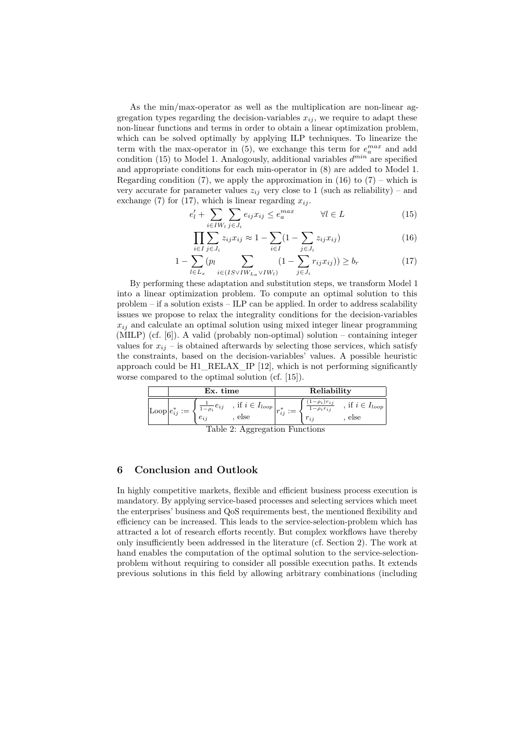As the min/max-operator as well as the multiplication are non-linear aggregation types regarding the decision-variables  $x_{ij}$ , we require to adapt these non-linear functions and terms in order to obtain a linear optimization problem, which can be solved optimally by applying ILP techniques. To linearize the term with the max-operator in (5), we exchange this term for  $e_a^{max}$  and add condition (15) to Model 1. Analogously, additional variables *d min* are specified and appropriate conditions for each min-operator in (8) are added to Model 1. Regarding condition (7), we apply the approximation in (16) to (7) – which is very accurate for parameter values  $z_{ij}$  very close to 1 (such as reliability) – and exchange (7) for (17), which is linear regarding  $x_{ij}$ .

$$
e'_{l} + \sum_{i \in IW_l} \sum_{j \in J_i} e_{ij} x_{ij} \le e_a^{max} \qquad \forall l \in L
$$
 (15)

$$
\prod_{i \in I} \sum_{j \in J_i} z_{ij} x_{ij} \approx 1 - \sum_{i \in I} (1 - \sum_{j \in J_i} z_{ij} x_{ij})
$$
\n(16)

$$
1 - \sum_{l \in L_x} (p_l \sum_{i \in (IS \vee IW_{L_a} \vee IW_l)} (1 - \sum_{j \in J_i} r_{ij} x_{ij})) \ge b_r
$$
 (17)

By performing these adaptation and substitution steps, we transform Model 1 into a linear optimization problem. To compute an optimal solution to this  $problem - if a solution exists - ILP can be applied. In order to address scalability$ issues we propose to relax the integrality conditions for the decision-variables *xij* and calculate an optimal solution using mixed integer linear programming (MILP) (cf. [6]). A valid (probably non-optimal) solution – containing integer values for  $x_{ij}$  – is obtained afterwards by selecting those services, which satisfy the constraints, based on the decision-variables' values. A possible heuristic approach could be H1\_RELAX\_IP  $[12]$ , which is not performing significantly worse compared to the optimal solution (cf. [15]).

|                               | Ex. time |          |                                                                                                                                                                                                                                  | Reliability |                                                        |                               |  |
|-------------------------------|----------|----------|----------------------------------------------------------------------------------------------------------------------------------------------------------------------------------------------------------------------------------|-------------|--------------------------------------------------------|-------------------------------|--|
|                               |          | $e_{ij}$ | $\left \text{Loop}\right e_{ij}^* := \left\{\begin{matrix} \frac{1}{1-\rho_i}e_{ij} & , \text{if } i \in I_{loop} \\ \frac{1}{1-\rho_i}e_{ij} & \frac{1}{1-\rho_i}e_{ij} \end{matrix}\right  r_{ij}^* := \left\{\right.$<br>else |             | $\frac{(1-\rho_i)r_{ij}}{1-\rho_i r_{ij}}$<br>$r_{ii}$ | , if $i \in I_{loop}$<br>else |  |
| Table 9. Agence tion European |          |          |                                                                                                                                                                                                                                  |             |                                                        |                               |  |

Table 2: Aggregation Functions

## **6 Conclusion and Outlook**

In highly competitive markets, flexible and efficient business process execution is mandatory. By applying service-based processes and selecting services which meet the enterprises' business and QoS requirements best, the mentioned flexibility and efficiency can be increased. This leads to the service-selection-problem which has attracted a lot of research efforts recently. But complex workflows have thereby only insufficiently been addressed in the literature (cf. Section 2). The work at hand enables the computation of the optimal solution to the service-selectionproblem without requiring to consider all possible execution paths. It extends previous solutions in this field by allowing arbitrary combinations (including